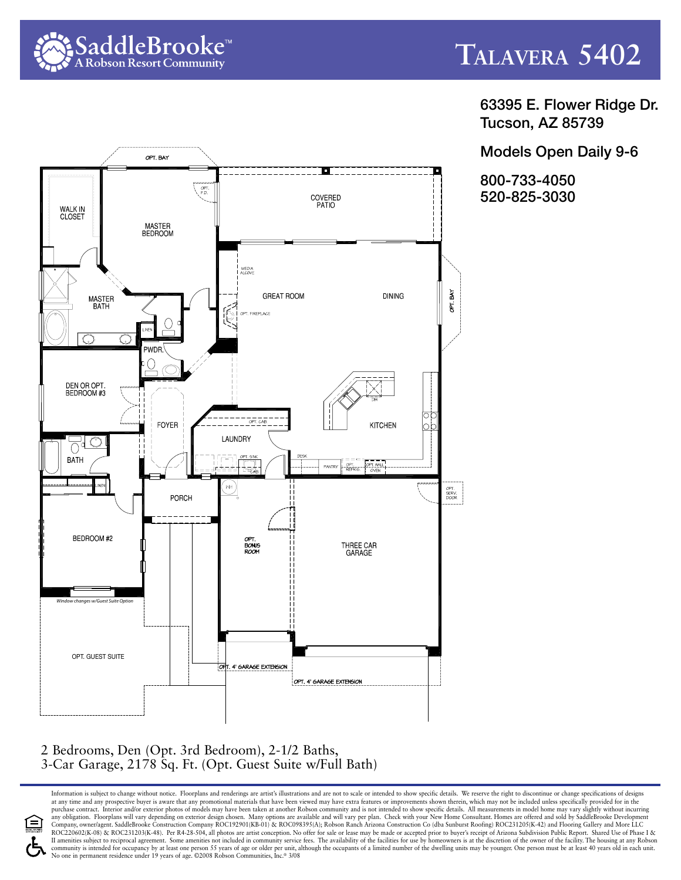

63395 E. Flower Ridge Dr. Tucson, AZ 85739

Models Open Daily 9-6

800-733-4050 520-825-3030



## 2 Bedrooms, Den (Opt. 3rd Bedroom), 2-1/2 Baths, 3-Car Garage, 2178 Sq. Ft. (Opt. Guest Suite w/Full Bath)

Information is subject to change without notice. Floorplans and renderings are artist's illustrations and are not to scale or intended to show specific details. We reserve the right to discontinue or change specifications at any time and any prospective buyer is aware that any promotional materials that have been viewed may have extra features or improvements shown therein, which may not be included unless specifically provided for in the<br>p any obligation. Floorplans will vary depending on exterior design chosen. Many options are available and will vary per plan. Check with your New Home Consultant. Homes are offered and sold by SaddleBrooke Development<br>Compa ROC220602(K-08) & ROC231203(K-48). Per R4-28-504, all photos are artist conception. No offer for sale or lease may be made or accepted prior to buyer's receipt of Arizona Subdivision Public Report. Shared Use of Phase I & Il amenities subject to reciprocal agreement. Some amenities not included in community service fees. The availability of the facilities for use by homeowners is at the discretion of the owner of the facility. The housing a community is intended for occupancy by at least one person 55 years of age or older per unit, although the occupants of a limited number of the dwelling units may be younger. One person must be at least 40 years old in eac